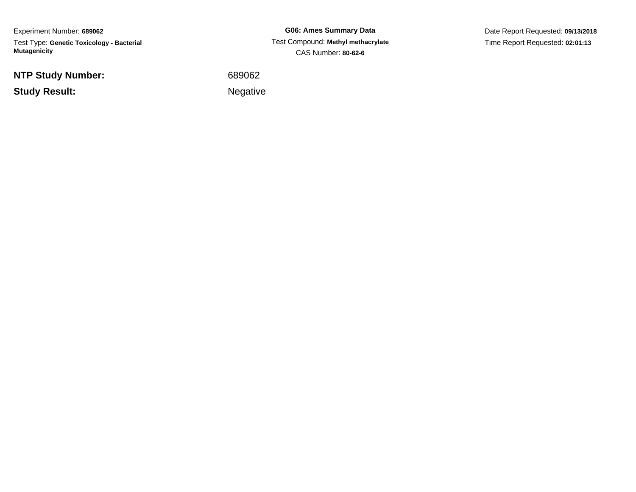Experiment Number: **689062**Test Type: **Genetic Toxicology - Bacterial Mutagenicity**

**NTP Study Number:**

**Study Result:**

**G06: Ames Summary Data** Test Compound: **Methyl methacrylate**CAS Number: **80-62-6**

Date Report Requested: **09/13/2018**Time Report Requested: **02:01:13**

<sup>689062</sup>

Negative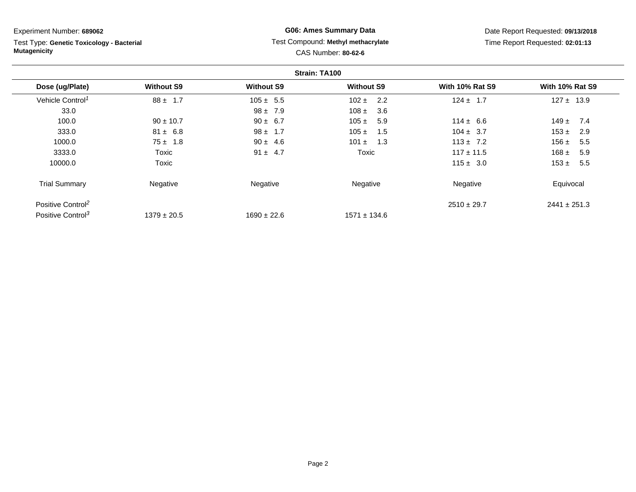Test Type: **Genetic Toxicology - Bacterial Mutagenicity**

## **G06: Ames Summary Data** Test Compound: **Methyl methacrylate**CAS Number: **80-62-6**

Date Report Requested: **09/13/2018**Time Report Requested: **02:01:13**

|                               |                   |                   | Strain: TA100     |                        |                        |
|-------------------------------|-------------------|-------------------|-------------------|------------------------|------------------------|
| Dose (ug/Plate)               | <b>Without S9</b> | <b>Without S9</b> | <b>Without S9</b> | <b>With 10% Rat S9</b> | <b>With 10% Rat S9</b> |
| Vehicle Control <sup>1</sup>  | $88 \pm 1.7$      | $105 \pm 5.5$     | $102 \pm 2.2$     | $124 \pm 1.7$          | $127 \pm 13.9$         |
| 33.0                          |                   | $98 \pm 7.9$      | 108 $\pm$<br>3.6  |                        |                        |
| 100.0                         | $90 \pm 10.7$     | $90 \pm 6.7$      | $105 \pm$<br>5.9  | $114 \pm 6.6$          | $149 +$<br>7.4         |
| 333.0                         | $81 \pm 6.8$      | $98 \pm 1.7$      | $105 \pm$<br>1.5  | $104 \pm 3.7$          | $153 \pm$<br>2.9       |
| 1000.0                        | $75 \pm 1.8$      | $90 \pm 4.6$      | 1.3<br>$101 \pm$  | $113 \pm 7.2$          | 156 $\pm$<br>5.5       |
| 3333.0                        | Toxic             | $91 \pm 4.7$      | Toxic             | $117 \pm 11.5$         | 168 $\pm$<br>5.9       |
| 10000.0                       | Toxic             |                   |                   | $115 \pm 3.0$          | $153 \pm$<br>5.5       |
| <b>Trial Summary</b>          | Negative          | Negative          | Negative          | Negative               | Equivocal              |
| Positive Control <sup>2</sup> |                   |                   |                   | $2510 \pm 29.7$        | $2441 \pm 251.3$       |
| Positive Control <sup>3</sup> | $1379 \pm 20.5$   | $1690 \pm 22.6$   | $1571 \pm 134.6$  |                        |                        |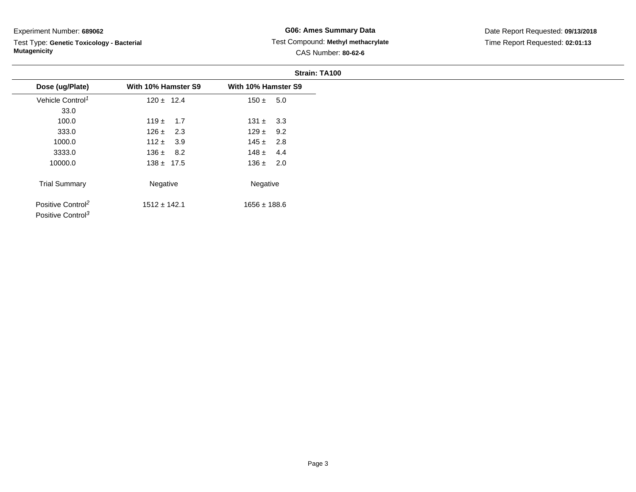Test Type: **Genetic Toxicology - Bacterial Mutagenicity**

## **G06: Ames Summary Data** Test Compound: **Methyl methacrylate**CAS Number: **80-62-6**

|                               |                     |                     | Strain: TA100 |
|-------------------------------|---------------------|---------------------|---------------|
| Dose (ug/Plate)               | With 10% Hamster S9 | With 10% Hamster S9 |               |
| Vehicle Control <sup>1</sup>  | $120 \pm 12.4$      | $150 \pm 5.0$       |               |
| 33.0                          |                     |                     |               |
| 100.0                         | $119 \pm 1.7$       | $131 \pm 3.3$       |               |
| 333.0                         | $126 \pm 2.3$       | $129 \pm 9.2$       |               |
| 1000.0                        | $112 \pm 3.9$       | $145 \pm 2.8$       |               |
| 3333.0                        | $136 \pm 8.2$       | $148 \pm 4.4$       |               |
| 10000.0                       | $138 \pm 17.5$      | $136 \pm 2.0$       |               |
| <b>Trial Summary</b>          | Negative            | Negative            |               |
| Positive Control <sup>2</sup> | $1512 \pm 142.1$    | $1656 \pm 188.6$    |               |
| Positive Control <sup>3</sup> |                     |                     |               |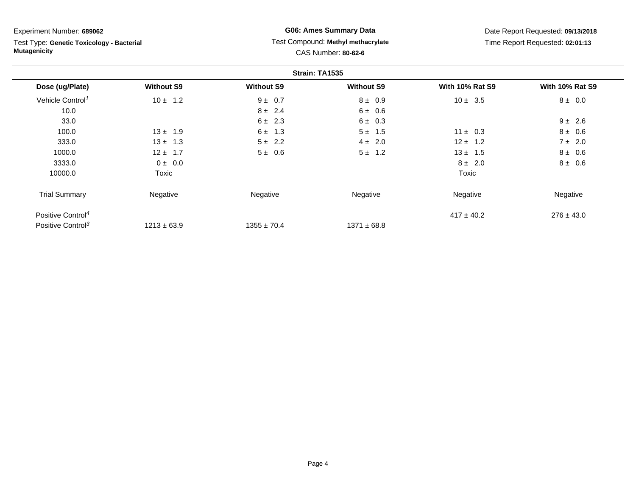Test Type: **Genetic Toxicology - Bacterial Mutagenicity**

## **G06: Ames Summary Data** Test Compound: **Methyl methacrylate**CAS Number: **80-62-6**

Date Report Requested: **09/13/2018**Time Report Requested: **02:01:13**

|                               |                   |                   | Strain: TA1535    |                        |                        |
|-------------------------------|-------------------|-------------------|-------------------|------------------------|------------------------|
| Dose (ug/Plate)               | <b>Without S9</b> | <b>Without S9</b> | <b>Without S9</b> | <b>With 10% Rat S9</b> | <b>With 10% Rat S9</b> |
| Vehicle Control <sup>1</sup>  | $10 \pm 1.2$      | $9 \pm 0.7$       | $8 \pm 0.9$       | $10 \pm 3.5$           | $8 \pm 0.0$            |
| 10.0                          |                   | $8 \pm 2.4$       | 6 ± 0.6           |                        |                        |
| 33.0                          |                   | $6 \pm 2.3$       | $6 \pm 0.3$       |                        | $9 \pm 2.6$            |
| 100.0                         | $13 \pm 1.9$      | $6 \pm 1.3$       | $5 \pm 1.5$       | $11 \pm 0.3$           | $8 \pm 0.6$            |
| 333.0                         | $13 \pm 1.3$      | $5 \pm 2.2$       | $4 \pm 2.0$       | $12 \pm 1.2$           | $7 \pm 2.0$            |
| 1000.0                        | $12 \pm 1.7$      | $5 \pm 0.6$       | $5 \pm 1.2$       | $13 \pm 1.5$           | $8 \pm 0.6$            |
| 3333.0                        | $0 \pm 0.0$       |                   |                   | $8 \pm 2.0$            | $8 \pm 0.6$            |
| 10000.0                       | Toxic             |                   |                   | Toxic                  |                        |
| <b>Trial Summary</b>          | Negative          | Negative          | Negative          | Negative               | Negative               |
| Positive Control <sup>4</sup> |                   |                   |                   | $417 \pm 40.2$         | $276 \pm 43.0$         |
| Positive Control <sup>3</sup> | $1213 \pm 63.9$   | $1355 \pm 70.4$   | $1371 \pm 68.8$   |                        |                        |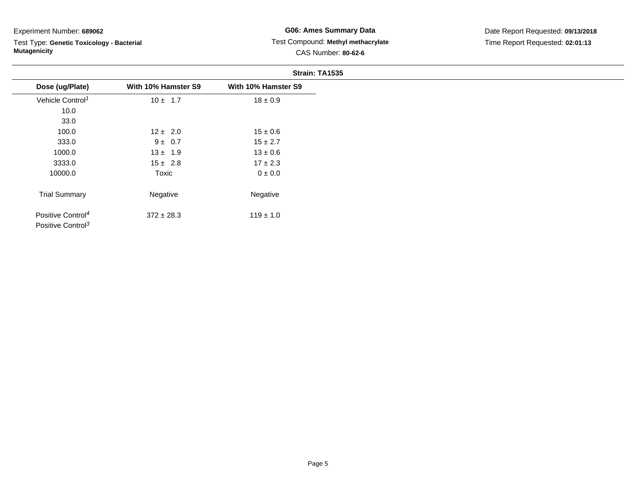Test Type: **Genetic Toxicology - Bacterial Mutagenicity**

## **G06: Ames Summary Data** Test Compound: **Methyl methacrylate**CAS Number: **80-62-6**

|                                                                |                     | Strain: TA1535      |
|----------------------------------------------------------------|---------------------|---------------------|
| Dose (ug/Plate)                                                | With 10% Hamster S9 | With 10% Hamster S9 |
| Vehicle Control <sup>1</sup>                                   | $10 \pm 1.7$        | $18 \pm 0.9$        |
| 10.0                                                           |                     |                     |
| 33.0                                                           |                     |                     |
| 100.0                                                          | $12 \pm 2.0$        | $15 \pm 0.6$        |
| 333.0                                                          | $9 \pm 0.7$         | $15 \pm 2.7$        |
| 1000.0                                                         | $13 \pm 1.9$        | $13 \pm 0.6$        |
| 3333.0                                                         | $15 \pm 2.8$        | $17 \pm 2.3$        |
| 10000.0                                                        | Toxic               | $0\pm0.0$           |
| <b>Trial Summary</b>                                           | Negative            | Negative            |
| Positive Control <sup>4</sup><br>Positive Control <sup>3</sup> | $372 \pm 28.3$      | $119 \pm 1.0$       |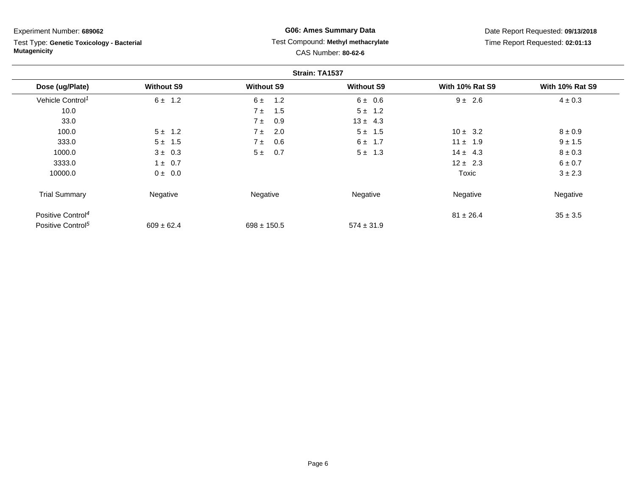Test Type: **Genetic Toxicology - Bacterial Mutagenicity**

## **G06: Ames Summary Data** Test Compound: **Methyl methacrylate**CAS Number: **80-62-6**

Date Report Requested: **09/13/2018**Time Report Requested: **02:01:13**

|                               |                   |                   | Strain: TA1537    |                        |                        |
|-------------------------------|-------------------|-------------------|-------------------|------------------------|------------------------|
| Dose (ug/Plate)               | <b>Without S9</b> | <b>Without S9</b> | <b>Without S9</b> | <b>With 10% Rat S9</b> | <b>With 10% Rat S9</b> |
| Vehicle Control <sup>1</sup>  | $6 \pm 1.2$       | 1.2<br>6±         | $6 \pm 0.6$       | $9 \pm 2.6$            | $4 \pm 0.3$            |
| 10.0                          |                   | 1.5<br>$7 \pm$    | $5 \pm 1.2$       |                        |                        |
| 33.0                          |                   | 0.9<br>7 ±        | $13 \pm 4.3$      |                        |                        |
| 100.0                         | $5 \pm 1.2$       | 2.0<br>7 ±        | $5 \pm 1.5$       | $10 \pm 3.2$           | $8 \pm 0.9$            |
| 333.0                         | $5 \pm 1.5$       | 0.6<br>7 ±        | $6 \pm 1.7$       | $11 \pm 1.9$           | $9 \pm 1.5$            |
| 1000.0                        | $3 \pm 0.3$       | 0.7<br>5±         | $5 \pm 1.3$       | $14 \pm 4.3$           | $8 \pm 0.3$            |
| 3333.0                        | $1 \pm 0.7$       |                   |                   | $12 \pm 2.3$           | 6 ± 0.7                |
| 10000.0                       | $0 \pm 0.0$       |                   |                   | Toxic                  | $3 \pm 2.3$            |
| <b>Trial Summary</b>          | Negative          | Negative          | Negative          | Negative               | Negative               |
| Positive Control <sup>4</sup> |                   |                   |                   | $81 \pm 26.4$          | $35 \pm 3.5$           |
| Positive Control <sup>5</sup> | $609 \pm 62.4$    | $698 \pm 150.5$   | $574 \pm 31.9$    |                        |                        |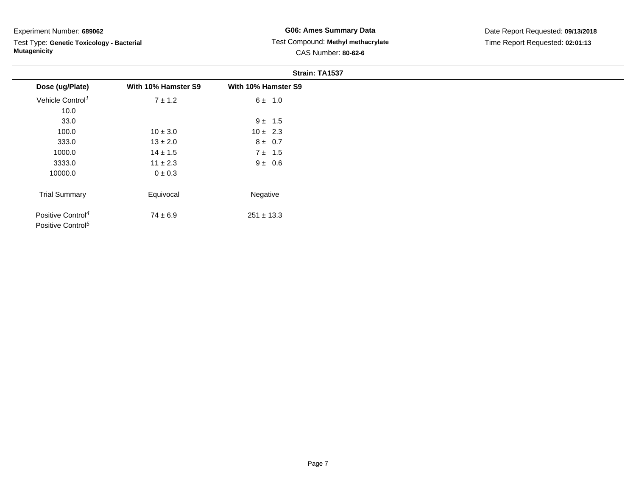Positive Control<sup>5</sup>

Test Type: **Genetic Toxicology - Bacterial Mutagenicity**

## **G06: Ames Summary Data** Test Compound: **Methyl methacrylate**CAS Number: **80-62-6**

|                               | Strain: TA1537      |                     |
|-------------------------------|---------------------|---------------------|
| Dose (ug/Plate)               | With 10% Hamster S9 | With 10% Hamster S9 |
| Vehicle Control <sup>1</sup>  | $7 \pm 1.2$         | $6 \pm 1.0$         |
| 10.0                          |                     |                     |
| 33.0                          |                     | $9 \pm 1.5$         |
| 100.0                         | $10 \pm 3.0$        | $10 \pm 2.3$        |
| 333.0                         | $13 \pm 2.0$        | $8 \pm 0.7$         |
| 1000.0                        | $14 \pm 1.5$        | 7 ± 1.5             |
| 3333.0                        | $11 \pm 2.3$        | $9 \pm 0.6$         |
| 10000.0                       | $0 \pm 0.3$         |                     |
| <b>Trial Summary</b>          | Equivocal           | Negative            |
| Positive Control <sup>4</sup> | $74 \pm 6.9$        | $251 \pm 13.3$      |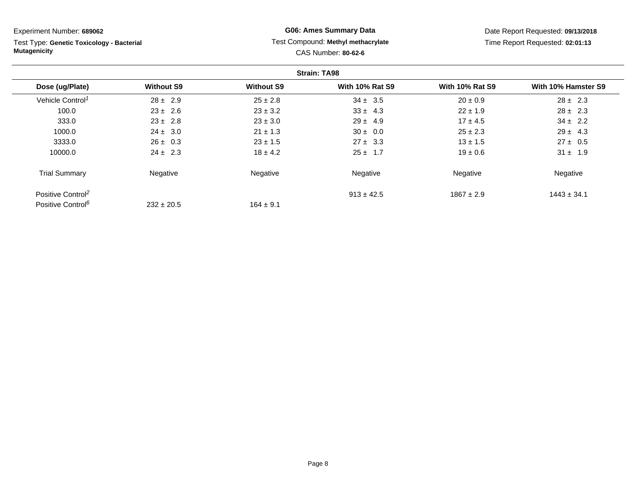**Strain: TA98Dose (ug/Plate) Without S9 Without S9 With 10% Rat S9 With 10% Rat S9 With 10% Hamster S9** Vehicle Control<sup>1</sup>  $28 \pm 2.9$ 9 25 ± 2.8 34  $\pm$  3.5 20  $\pm$  0.9 28  $\pm$  2.3 100.00  $23 \pm 2.6$   $23 \pm 3.2$   $33 \pm 4.3$   $22 \pm 1.9$   $28 \pm 2.3$ 333.00  $23 \pm 2.8$   $23 \pm 3.0$   $29 \pm 4.9$   $17 \pm 4.5$   $34 \pm 2.2$ 1000.00 24 ± 3.0 21 ± 1.3 30 ± 0.0 25 ± 2.3 29 ± 4.3 3333.0Experiment Number: **689062**Test Type: **Genetic Toxicology - BacterialMutagenicityG06: Ames Summary Data** Test Compound: **Methyl methacrylate**CAS Number: **80-62-6**Date Report Requested: **09/13/2018**Time Report Requested: **02:01:13**

 $164 \pm 9.1$ 

10000.0

Trial Summary

Positive Control<sup>2</sup>

Positive Control<sup>6</sup>

Negative

 $232 \pm 20.5$ 

0  $26 \pm 0.3$   $23 \pm 1.5$   $27 \pm 3.3$   $13 \pm 1.5$   $27 \pm 0.5$ 

0  $24 \pm 2.3$   $18 \pm 4.2$   $25 \pm 1.7$   $19 \pm 0.6$   $31 \pm 1.9$ 

e **Negative Regative** Negative Negative Negative Regative Negative

 $1867 \pm 2.9$  1443  $\pm$  34.1

 $913 \pm 42.5$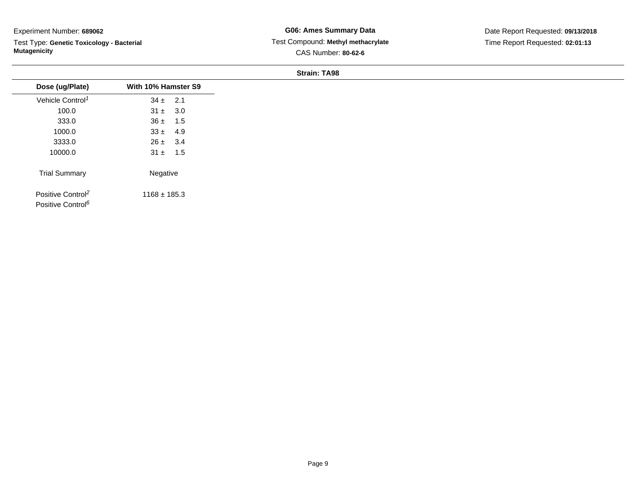Test Type: **Genetic Toxicology - Bacterial Mutagenicity**

**G06: Ames Summary Data** Test Compound: **Methyl methacrylate**CAS Number: **80-62-6**

Date Report Requested: **09/13/2018**Time Report Requested: **02:01:13**

#### **Strain: TA98**

| Dose (ug/Plate)                                                | With 10% Hamster S9 |
|----------------------------------------------------------------|---------------------|
|                                                                |                     |
| Vehicle Control <sup>1</sup>                                   | $34 \pm 2.1$        |
| 100.0                                                          | $31 \pm 3.0$        |
| 333.0                                                          | $36 \pm 1.5$        |
| 1000.0                                                         | $33 \pm 4.9$        |
| 3333.0                                                         | $26 \pm 3.4$        |
| 10000.0                                                        | $31 \pm 1.5$        |
| <b>Trial Summary</b>                                           | Negative            |
| Positive Control <sup>2</sup><br>Positive Control <sup>6</sup> | $1168 \pm 185.3$    |